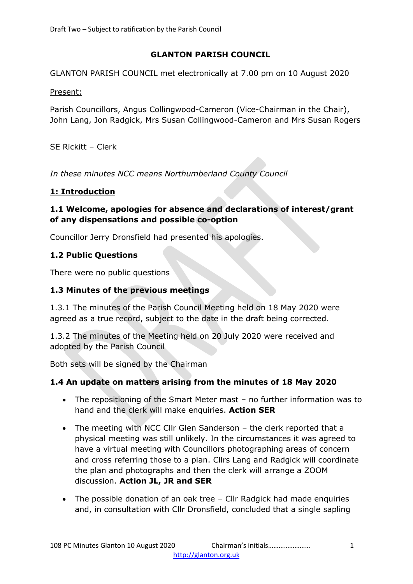# **GLANTON PARISH COUNCIL**

GLANTON PARISH COUNCIL met electronically at 7.00 pm on 10 August 2020

Present:

Parish Councillors, Angus Collingwood-Cameron (Vice-Chairman in the Chair), John Lang, Jon Radgick, Mrs Susan Collingwood-Cameron and Mrs Susan Rogers

SE Rickitt – Clerk

*In these minutes NCC means Northumberland County Council*

## **1: Introduction**

#### **1.1 Welcome, apologies for absence and declarations of interest/grant of any dispensations and possible co-option**

Councillor Jerry Dronsfield had presented his apologies.

#### **1.2 Public Questions**

There were no public questions

#### **1.3 Minutes of the previous meetings**

1.3.1 The minutes of the Parish Council Meeting held on 18 May 2020 were agreed as a true record, subject to the date in the draft being corrected.

1.3.2 The minutes of the Meeting held on 20 July 2020 were received and adopted by the Parish Council

Both sets will be signed by the Chairman

## **1.4 An update on matters arising from the minutes of 18 May 2020**

- The repositioning of the Smart Meter mast no further information was to hand and the clerk will make enquiries. **Action SER**
- The meeting with NCC Cllr Glen Sanderson the clerk reported that a physical meeting was still unlikely. In the circumstances it was agreed to have a virtual meeting with Councillors photographing areas of concern and cross referring those to a plan. Cllrs Lang and Radgick will coordinate the plan and photographs and then the clerk will arrange a ZOOM discussion. **Action JL, JR and SER**
- The possible donation of an oak tree Cllr Radgick had made enquiries and, in consultation with Cllr Dronsfield, concluded that a single sapling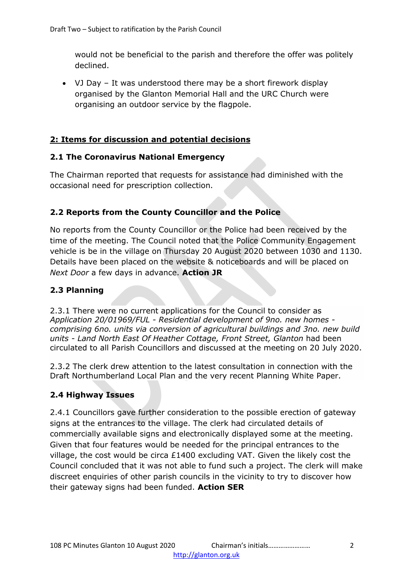would not be beneficial to the parish and therefore the offer was politely declined.

• VJ Day – It was understood there may be a short firework display organised by the Glanton Memorial Hall and the URC Church were organising an outdoor service by the flagpole.

# **2: Items for discussion and potential decisions**

## **2.1 The Coronavirus National Emergency**

The Chairman reported that requests for assistance had diminished with the occasional need for prescription collection.

## **2.2 Reports from the County Councillor and the Police**

No reports from the County Councillor or the Police had been received by the time of the meeting. The Council noted that the Police Community Engagement vehicle is be in the village on Thursday 20 August 2020 between 1030 and 1130. Details have been placed on the website & noticeboards and will be placed on *Next Door* a few days in advance. **Action JR**

# **2.3 Planning**

2.3.1 There were no current applications for the Council to consider as *Application 20/01969/FUL - Residential development of 9no. new homes comprising 6no. units via conversion of agricultural buildings and 3no. new build units - Land North East Of Heather Cottage, Front Street, Glanton* had been circulated to all Parish Councillors and discussed at the meeting on 20 July 2020.

2.3.2 The clerk drew attention to the latest consultation in connection with the Draft Northumberland Local Plan and the very recent Planning White Paper.

## **2.4 Highway Issues**

2.4.1 Councillors gave further consideration to the possible erection of gateway signs at the entrances to the village. The clerk had circulated details of commercially available signs and electronically displayed some at the meeting. Given that four features would be needed for the principal entrances to the village, the cost would be circa £1400 excluding VAT. Given the likely cost the Council concluded that it was not able to fund such a project. The clerk will make discreet enquiries of other parish councils in the vicinity to try to discover how their gateway signs had been funded. **Action SER**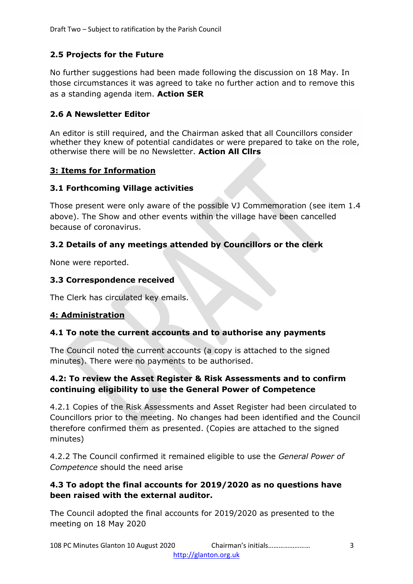# **2.5 Projects for the Future**

No further suggestions had been made following the discussion on 18 May. In those circumstances it was agreed to take no further action and to remove this as a standing agenda item. **Action SER**

## **2.6 A Newsletter Editor**

An editor is still required, and the Chairman asked that all Councillors consider whether they knew of potential candidates or were prepared to take on the role, otherwise there will be no Newsletter. **Action All Cllrs**

#### **3: Items for Information**

#### **3.1 Forthcoming Village activities**

Those present were only aware of the possible VJ Commemoration (see item 1.4 above). The Show and other events within the village have been cancelled because of coronavirus.

## **3.2 Details of any meetings attended by Councillors or the clerk**

None were reported.

#### **3.3 Correspondence received**

The Clerk has circulated key emails.

## **4: Administration**

#### **4.1 To note the current accounts and to authorise any payments**

The Council noted the current accounts (a copy is attached to the signed minutes). There were no payments to be authorised.

## **4.2: To review the Asset Register & Risk Assessments and to confirm continuing eligibility to use the General Power of Competence**

4.2.1 Copies of the Risk Assessments and Asset Register had been circulated to Councillors prior to the meeting. No changes had been identified and the Council therefore confirmed them as presented. (Copies are attached to the signed minutes)

4.2.2 The Council confirmed it remained eligible to use the *General Power of Competence* should the need arise

#### **4.3 To adopt the final accounts for 2019/2020 as no questions have been raised with the external auditor.**

The Council adopted the final accounts for 2019/2020 as presented to the meeting on 18 May 2020